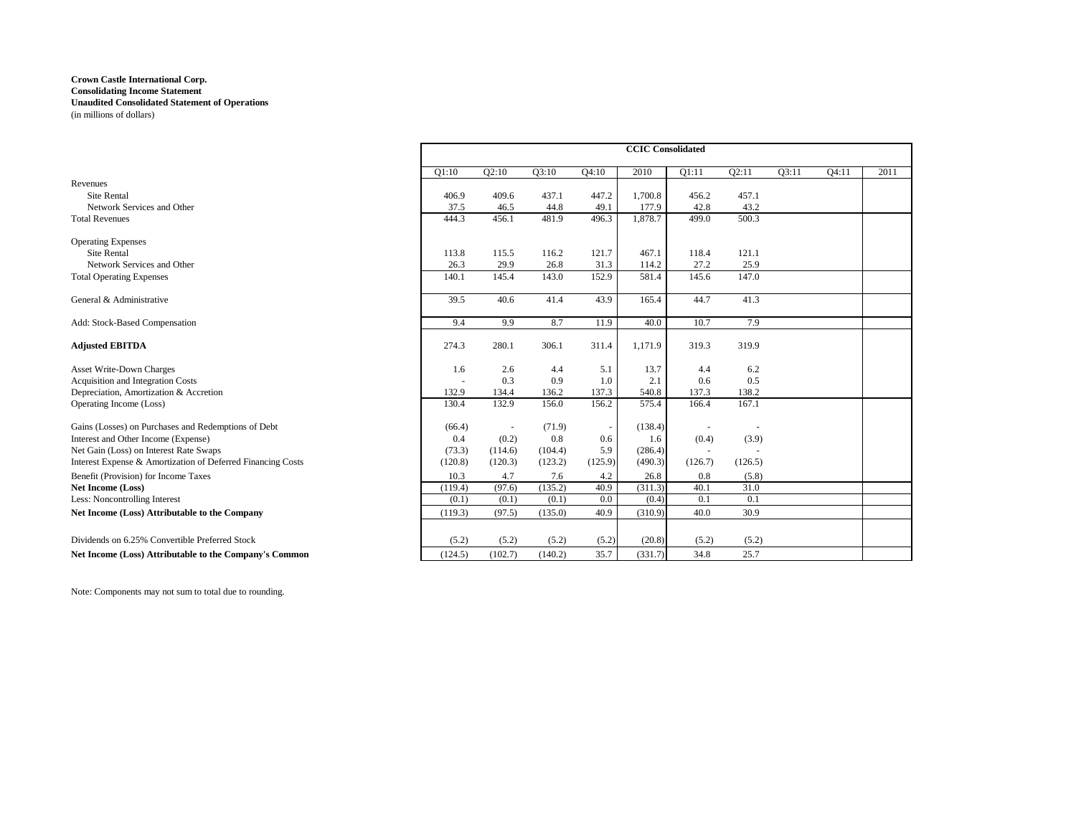|                                                             |         | <b>CCIC</b> Consolidated<br>2010<br>O2:11<br>Q2:10<br>Q3:10<br>Q4:10<br>Q1:11<br>O3:11<br>409.6<br>437.1<br>447.2<br>1,700.8<br>456.2<br>457.1<br>43.2<br>177.9<br>42.8<br>46.5<br>44.8<br>49.1<br>499.0<br>500.3<br>456.1<br>481.9<br>496.3<br>1,878.7<br>121.7<br>467.1<br>121.1<br>115.5<br>116.2<br>118.4<br>31.3<br>27.2<br>29.9<br>114.2<br>25.9<br>26.8<br>147.0<br>145.4<br>152.9<br>145.6<br>143.0<br>581.4<br>43.9<br>41.3<br>40.6<br>165.4<br>44.7<br>41.4<br>7.9<br>9.9<br>8.7<br>11.9<br>40.0<br>10.7<br>280.1<br>306.1<br>311.4<br>1,171.9<br>319.3<br>319.9<br>2.6<br>13.7<br>6.2<br>4.4<br>5.1<br>4.4<br>0.3<br>2.1<br>0.5<br>0.9<br>1.0<br>0.6<br>137.3<br>540.8<br>137.3<br>138.2<br>134.4<br>136.2 |         |         |         |         |         |  |       |      |
|-------------------------------------------------------------|---------|-----------------------------------------------------------------------------------------------------------------------------------------------------------------------------------------------------------------------------------------------------------------------------------------------------------------------------------------------------------------------------------------------------------------------------------------------------------------------------------------------------------------------------------------------------------------------------------------------------------------------------------------------------------------------------------------------------------------------|---------|---------|---------|---------|---------|--|-------|------|
|                                                             | O1:10   |                                                                                                                                                                                                                                                                                                                                                                                                                                                                                                                                                                                                                                                                                                                       |         |         |         |         |         |  | Q4:11 | 2011 |
| Revenues                                                    |         |                                                                                                                                                                                                                                                                                                                                                                                                                                                                                                                                                                                                                                                                                                                       |         |         |         |         |         |  |       |      |
| Site Rental                                                 | 406.9   |                                                                                                                                                                                                                                                                                                                                                                                                                                                                                                                                                                                                                                                                                                                       |         |         |         |         |         |  |       |      |
| Network Services and Other                                  | 37.5    |                                                                                                                                                                                                                                                                                                                                                                                                                                                                                                                                                                                                                                                                                                                       |         |         |         |         |         |  |       |      |
| <b>Total Revenues</b>                                       | 444.3   |                                                                                                                                                                                                                                                                                                                                                                                                                                                                                                                                                                                                                                                                                                                       |         |         |         |         |         |  |       |      |
| <b>Operating Expenses</b>                                   |         |                                                                                                                                                                                                                                                                                                                                                                                                                                                                                                                                                                                                                                                                                                                       |         |         |         |         |         |  |       |      |
| Site Rental                                                 | 113.8   |                                                                                                                                                                                                                                                                                                                                                                                                                                                                                                                                                                                                                                                                                                                       |         |         |         |         |         |  |       |      |
| Network Services and Other                                  | 26.3    |                                                                                                                                                                                                                                                                                                                                                                                                                                                                                                                                                                                                                                                                                                                       |         |         |         |         |         |  |       |      |
| <b>Total Operating Expenses</b>                             | 140.1   |                                                                                                                                                                                                                                                                                                                                                                                                                                                                                                                                                                                                                                                                                                                       |         |         |         |         |         |  |       |      |
| General & Administrative                                    | 39.5    |                                                                                                                                                                                                                                                                                                                                                                                                                                                                                                                                                                                                                                                                                                                       |         |         |         |         |         |  |       |      |
| Add: Stock-Based Compensation                               | 9.4     |                                                                                                                                                                                                                                                                                                                                                                                                                                                                                                                                                                                                                                                                                                                       |         |         |         |         |         |  |       |      |
| <b>Adjusted EBITDA</b>                                      | 274.3   |                                                                                                                                                                                                                                                                                                                                                                                                                                                                                                                                                                                                                                                                                                                       |         |         |         |         |         |  |       |      |
| <b>Asset Write-Down Charges</b>                             | 1.6     |                                                                                                                                                                                                                                                                                                                                                                                                                                                                                                                                                                                                                                                                                                                       |         |         |         |         |         |  |       |      |
| Acquisition and Integration Costs                           |         |                                                                                                                                                                                                                                                                                                                                                                                                                                                                                                                                                                                                                                                                                                                       |         |         |         |         |         |  |       |      |
| Depreciation, Amortization & Accretion                      | 132.9   |                                                                                                                                                                                                                                                                                                                                                                                                                                                                                                                                                                                                                                                                                                                       |         |         |         |         |         |  |       |      |
| Operating Income (Loss)                                     | 130.4   | 132.9                                                                                                                                                                                                                                                                                                                                                                                                                                                                                                                                                                                                                                                                                                                 | 156.0   | 156.2   | 575.4   | 166.4   | 167.1   |  |       |      |
| Gains (Losses) on Purchases and Redemptions of Debt         | (66.4)  | $\sim$                                                                                                                                                                                                                                                                                                                                                                                                                                                                                                                                                                                                                                                                                                                | (71.9)  | $\sim$  | (138.4) | $\sim$  | $\sim$  |  |       |      |
| Interest and Other Income (Expense)                         | 0.4     | (0.2)                                                                                                                                                                                                                                                                                                                                                                                                                                                                                                                                                                                                                                                                                                                 | 0.8     | 0.6     | 1.6     | (0.4)   | (3.9)   |  |       |      |
| Net Gain (Loss) on Interest Rate Swaps                      | (73.3)  | (114.6)                                                                                                                                                                                                                                                                                                                                                                                                                                                                                                                                                                                                                                                                                                               | (104.4) | 5.9     | (286.4) | $\sim$  | $\sim$  |  |       |      |
| Interest Expense & Amortization of Deferred Financing Costs | (120.8) | (120.3)                                                                                                                                                                                                                                                                                                                                                                                                                                                                                                                                                                                                                                                                                                               | (123.2) | (125.9) | (490.3) | (126.7) | (126.5) |  |       |      |
| Benefit (Provision) for Income Taxes                        | 10.3    | 4.7                                                                                                                                                                                                                                                                                                                                                                                                                                                                                                                                                                                                                                                                                                                   | 7.6     | 4.2     | 26.8    | 0.8     | (5.8)   |  |       |      |
| Net Income (Loss)                                           | (119.4) | (97.6)                                                                                                                                                                                                                                                                                                                                                                                                                                                                                                                                                                                                                                                                                                                | (135.2) | 40.9    | (311.3) | 40.1    | 31.0    |  |       |      |
| Less: Noncontrolling Interest                               | (0.1)   | (0.1)                                                                                                                                                                                                                                                                                                                                                                                                                                                                                                                                                                                                                                                                                                                 | (0.1)   | $0.0\,$ | (0.4)   | 0.1     | 0.1     |  |       |      |
| Net Income (Loss) Attributable to the Company               | (119.3) | (97.5)                                                                                                                                                                                                                                                                                                                                                                                                                                                                                                                                                                                                                                                                                                                | (135.0) | 40.9    | (310.9) | 40.0    | 30.9    |  |       |      |
| Dividends on 6.25% Convertible Preferred Stock              | (5.2)   | (5.2)                                                                                                                                                                                                                                                                                                                                                                                                                                                                                                                                                                                                                                                                                                                 | (5.2)   | (5.2)   | (20.8)  | (5.2)   | (5.2)   |  |       |      |
| Net Income (Loss) Attributable to the Company's Common      | (124.5) | (102.7)                                                                                                                                                                                                                                                                                                                                                                                                                                                                                                                                                                                                                                                                                                               | (140.2) | 35.7    | (331.7) | 34.8    | 25.7    |  |       |      |
|                                                             |         |                                                                                                                                                                                                                                                                                                                                                                                                                                                                                                                                                                                                                                                                                                                       |         |         |         |         |         |  |       |      |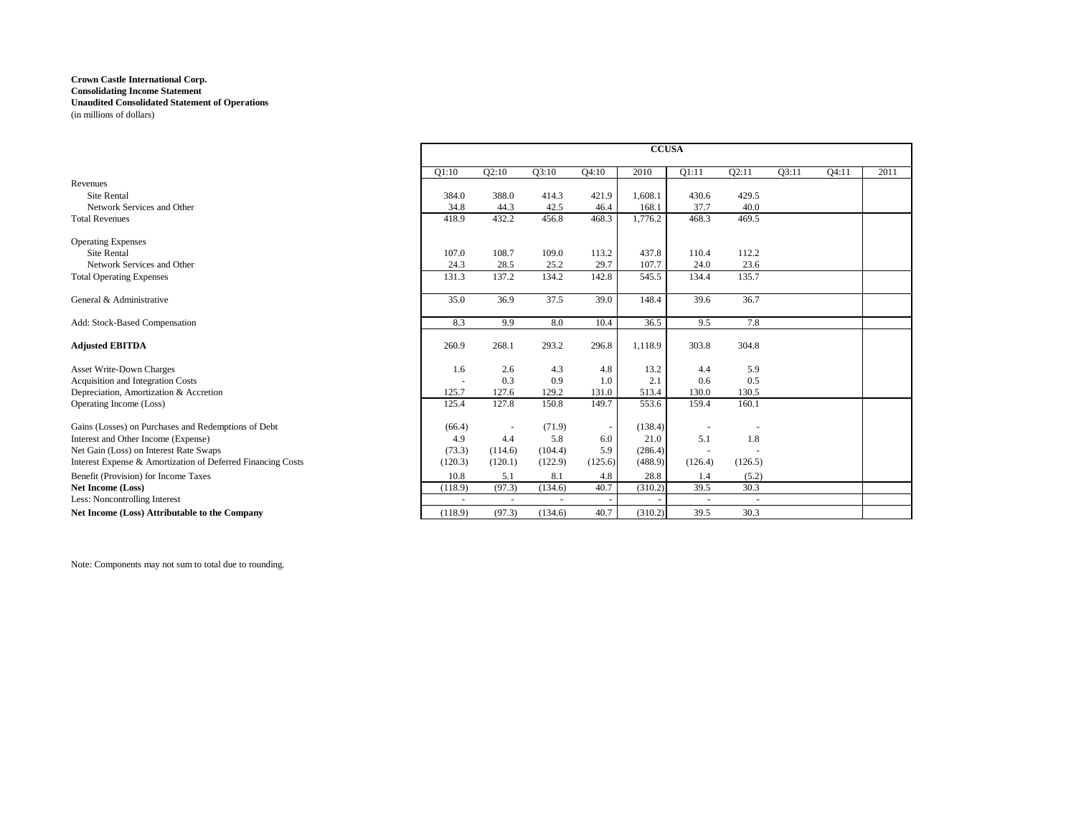| Q3:10<br>Q3:11<br>Q4:11<br>2011<br>Q2:10<br>Q4:10<br>2010<br>Q1:11<br>Q2:11<br>Q1:10<br>Revenues<br>Site Rental<br>421.9<br>1,608.1<br>429.5<br>384.0<br>388.0<br>414.3<br>430.6<br>37.7<br>Network Services and Other<br>34.8<br>44.3<br>42.5<br>168.1<br>40.0<br>46.4<br>418.9<br>432.2<br>456.8<br>468.3<br>468.3<br>469.5<br><b>Total Revenues</b><br>1,776.2<br><b>Operating Expenses</b><br>113.2<br>437.8<br>Site Rental<br>108.7<br>109.0<br>110.4<br>112.2<br>107.0<br>29.7<br>107.7<br>Network Services and Other<br>24.3<br>28.5<br>24.0<br>23.6<br>25.2<br>142.8<br>545.5<br>135.7<br>137.2<br>134.2<br>134.4<br><b>Total Operating Expenses</b><br>131.3<br>36.9<br>37.5<br>39.0<br>39.6<br>36.7<br>General & Administrative<br>35.0<br>148.4<br>36.5<br>7.8<br>Add: Stock-Based Compensation<br>8.3<br>9.9<br>8.0<br>10.4<br>9.5<br>304.8<br>268.1<br>293.2<br>296.8<br>303.8<br><b>Adjusted EBITDA</b><br>260.9<br>1,118.9<br>2.6<br><b>Asset Write-Down Charges</b><br>13.2<br>5.9<br>4.3<br>4.8<br>1.6<br>4.4<br>0.3<br>0.5<br>0.9<br>1.0<br>2.1<br>Acquisition and Integration Costs<br>0.6<br>127.6<br>131.0<br>513.4<br>125.7<br>129.2<br>130.0<br>130.5<br>Depreciation, Amortization & Accretion<br>127.8<br>149.7<br>553.6<br>160.1<br>Operating Income (Loss)<br>150.8<br>159.4<br>125.4<br>Gains (Losses) on Purchases and Redemptions of Debt<br>(138.4)<br>(66.4)<br>(71.9)<br>$\overline{\phantom{a}}$<br>$\overline{\phantom{a}}$<br>21.0<br>5.1<br>1.8<br>4.4<br>5.8<br>6.0<br>Interest and Other Income (Expense)<br>4.9<br>5.9<br>Net Gain (Loss) on Interest Rate Swaps<br>(114.6)<br>(104.4)<br>(286.4)<br>(73.3)<br>$\sim$<br>(120.1)<br>Interest Expense & Amortization of Deferred Financing Costs<br>(120.3)<br>(122.9)<br>(125.6)<br>(488.9)<br>(126.4)<br>(126.5)<br>Benefit (Provision) for Income Taxes<br>5.1<br>8.1<br>4.8<br>10.8<br>28.8<br>1.4<br>(5.2)<br>40.7<br>30.3<br>(97.3)<br>(134.6)<br>(310.2)<br>39.5<br>Net Income (Loss)<br>(118.9)<br>Less: Noncontrolling Interest<br>$\sim$<br>$\sim$<br>$\sim$ $-$<br>$\sim$<br>$\sim$<br>40.7<br>(97.3)<br>(134.6)<br>(310.2)<br>39.5<br>30.3<br>Net Income (Loss) Attributable to the Company<br>(118.9) |  |  | <b>CCUSA</b> |  |  |  |
|-----------------------------------------------------------------------------------------------------------------------------------------------------------------------------------------------------------------------------------------------------------------------------------------------------------------------------------------------------------------------------------------------------------------------------------------------------------------------------------------------------------------------------------------------------------------------------------------------------------------------------------------------------------------------------------------------------------------------------------------------------------------------------------------------------------------------------------------------------------------------------------------------------------------------------------------------------------------------------------------------------------------------------------------------------------------------------------------------------------------------------------------------------------------------------------------------------------------------------------------------------------------------------------------------------------------------------------------------------------------------------------------------------------------------------------------------------------------------------------------------------------------------------------------------------------------------------------------------------------------------------------------------------------------------------------------------------------------------------------------------------------------------------------------------------------------------------------------------------------------------------------------------------------------------------------------------------------------------------------------------------------------------------------------------------------------------------------------------------------------------------------------------------------------------------------------------------------|--|--|--------------|--|--|--|
|                                                                                                                                                                                                                                                                                                                                                                                                                                                                                                                                                                                                                                                                                                                                                                                                                                                                                                                                                                                                                                                                                                                                                                                                                                                                                                                                                                                                                                                                                                                                                                                                                                                                                                                                                                                                                                                                                                                                                                                                                                                                                                                                                                                                           |  |  |              |  |  |  |
|                                                                                                                                                                                                                                                                                                                                                                                                                                                                                                                                                                                                                                                                                                                                                                                                                                                                                                                                                                                                                                                                                                                                                                                                                                                                                                                                                                                                                                                                                                                                                                                                                                                                                                                                                                                                                                                                                                                                                                                                                                                                                                                                                                                                           |  |  |              |  |  |  |
|                                                                                                                                                                                                                                                                                                                                                                                                                                                                                                                                                                                                                                                                                                                                                                                                                                                                                                                                                                                                                                                                                                                                                                                                                                                                                                                                                                                                                                                                                                                                                                                                                                                                                                                                                                                                                                                                                                                                                                                                                                                                                                                                                                                                           |  |  |              |  |  |  |
|                                                                                                                                                                                                                                                                                                                                                                                                                                                                                                                                                                                                                                                                                                                                                                                                                                                                                                                                                                                                                                                                                                                                                                                                                                                                                                                                                                                                                                                                                                                                                                                                                                                                                                                                                                                                                                                                                                                                                                                                                                                                                                                                                                                                           |  |  |              |  |  |  |
|                                                                                                                                                                                                                                                                                                                                                                                                                                                                                                                                                                                                                                                                                                                                                                                                                                                                                                                                                                                                                                                                                                                                                                                                                                                                                                                                                                                                                                                                                                                                                                                                                                                                                                                                                                                                                                                                                                                                                                                                                                                                                                                                                                                                           |  |  |              |  |  |  |
|                                                                                                                                                                                                                                                                                                                                                                                                                                                                                                                                                                                                                                                                                                                                                                                                                                                                                                                                                                                                                                                                                                                                                                                                                                                                                                                                                                                                                                                                                                                                                                                                                                                                                                                                                                                                                                                                                                                                                                                                                                                                                                                                                                                                           |  |  |              |  |  |  |
|                                                                                                                                                                                                                                                                                                                                                                                                                                                                                                                                                                                                                                                                                                                                                                                                                                                                                                                                                                                                                                                                                                                                                                                                                                                                                                                                                                                                                                                                                                                                                                                                                                                                                                                                                                                                                                                                                                                                                                                                                                                                                                                                                                                                           |  |  |              |  |  |  |
|                                                                                                                                                                                                                                                                                                                                                                                                                                                                                                                                                                                                                                                                                                                                                                                                                                                                                                                                                                                                                                                                                                                                                                                                                                                                                                                                                                                                                                                                                                                                                                                                                                                                                                                                                                                                                                                                                                                                                                                                                                                                                                                                                                                                           |  |  |              |  |  |  |
|                                                                                                                                                                                                                                                                                                                                                                                                                                                                                                                                                                                                                                                                                                                                                                                                                                                                                                                                                                                                                                                                                                                                                                                                                                                                                                                                                                                                                                                                                                                                                                                                                                                                                                                                                                                                                                                                                                                                                                                                                                                                                                                                                                                                           |  |  |              |  |  |  |
|                                                                                                                                                                                                                                                                                                                                                                                                                                                                                                                                                                                                                                                                                                                                                                                                                                                                                                                                                                                                                                                                                                                                                                                                                                                                                                                                                                                                                                                                                                                                                                                                                                                                                                                                                                                                                                                                                                                                                                                                                                                                                                                                                                                                           |  |  |              |  |  |  |
|                                                                                                                                                                                                                                                                                                                                                                                                                                                                                                                                                                                                                                                                                                                                                                                                                                                                                                                                                                                                                                                                                                                                                                                                                                                                                                                                                                                                                                                                                                                                                                                                                                                                                                                                                                                                                                                                                                                                                                                                                                                                                                                                                                                                           |  |  |              |  |  |  |
|                                                                                                                                                                                                                                                                                                                                                                                                                                                                                                                                                                                                                                                                                                                                                                                                                                                                                                                                                                                                                                                                                                                                                                                                                                                                                                                                                                                                                                                                                                                                                                                                                                                                                                                                                                                                                                                                                                                                                                                                                                                                                                                                                                                                           |  |  |              |  |  |  |
|                                                                                                                                                                                                                                                                                                                                                                                                                                                                                                                                                                                                                                                                                                                                                                                                                                                                                                                                                                                                                                                                                                                                                                                                                                                                                                                                                                                                                                                                                                                                                                                                                                                                                                                                                                                                                                                                                                                                                                                                                                                                                                                                                                                                           |  |  |              |  |  |  |
|                                                                                                                                                                                                                                                                                                                                                                                                                                                                                                                                                                                                                                                                                                                                                                                                                                                                                                                                                                                                                                                                                                                                                                                                                                                                                                                                                                                                                                                                                                                                                                                                                                                                                                                                                                                                                                                                                                                                                                                                                                                                                                                                                                                                           |  |  |              |  |  |  |
|                                                                                                                                                                                                                                                                                                                                                                                                                                                                                                                                                                                                                                                                                                                                                                                                                                                                                                                                                                                                                                                                                                                                                                                                                                                                                                                                                                                                                                                                                                                                                                                                                                                                                                                                                                                                                                                                                                                                                                                                                                                                                                                                                                                                           |  |  |              |  |  |  |
|                                                                                                                                                                                                                                                                                                                                                                                                                                                                                                                                                                                                                                                                                                                                                                                                                                                                                                                                                                                                                                                                                                                                                                                                                                                                                                                                                                                                                                                                                                                                                                                                                                                                                                                                                                                                                                                                                                                                                                                                                                                                                                                                                                                                           |  |  |              |  |  |  |
|                                                                                                                                                                                                                                                                                                                                                                                                                                                                                                                                                                                                                                                                                                                                                                                                                                                                                                                                                                                                                                                                                                                                                                                                                                                                                                                                                                                                                                                                                                                                                                                                                                                                                                                                                                                                                                                                                                                                                                                                                                                                                                                                                                                                           |  |  |              |  |  |  |
|                                                                                                                                                                                                                                                                                                                                                                                                                                                                                                                                                                                                                                                                                                                                                                                                                                                                                                                                                                                                                                                                                                                                                                                                                                                                                                                                                                                                                                                                                                                                                                                                                                                                                                                                                                                                                                                                                                                                                                                                                                                                                                                                                                                                           |  |  |              |  |  |  |
|                                                                                                                                                                                                                                                                                                                                                                                                                                                                                                                                                                                                                                                                                                                                                                                                                                                                                                                                                                                                                                                                                                                                                                                                                                                                                                                                                                                                                                                                                                                                                                                                                                                                                                                                                                                                                                                                                                                                                                                                                                                                                                                                                                                                           |  |  |              |  |  |  |
|                                                                                                                                                                                                                                                                                                                                                                                                                                                                                                                                                                                                                                                                                                                                                                                                                                                                                                                                                                                                                                                                                                                                                                                                                                                                                                                                                                                                                                                                                                                                                                                                                                                                                                                                                                                                                                                                                                                                                                                                                                                                                                                                                                                                           |  |  |              |  |  |  |
|                                                                                                                                                                                                                                                                                                                                                                                                                                                                                                                                                                                                                                                                                                                                                                                                                                                                                                                                                                                                                                                                                                                                                                                                                                                                                                                                                                                                                                                                                                                                                                                                                                                                                                                                                                                                                                                                                                                                                                                                                                                                                                                                                                                                           |  |  |              |  |  |  |
|                                                                                                                                                                                                                                                                                                                                                                                                                                                                                                                                                                                                                                                                                                                                                                                                                                                                                                                                                                                                                                                                                                                                                                                                                                                                                                                                                                                                                                                                                                                                                                                                                                                                                                                                                                                                                                                                                                                                                                                                                                                                                                                                                                                                           |  |  |              |  |  |  |
|                                                                                                                                                                                                                                                                                                                                                                                                                                                                                                                                                                                                                                                                                                                                                                                                                                                                                                                                                                                                                                                                                                                                                                                                                                                                                                                                                                                                                                                                                                                                                                                                                                                                                                                                                                                                                                                                                                                                                                                                                                                                                                                                                                                                           |  |  |              |  |  |  |
|                                                                                                                                                                                                                                                                                                                                                                                                                                                                                                                                                                                                                                                                                                                                                                                                                                                                                                                                                                                                                                                                                                                                                                                                                                                                                                                                                                                                                                                                                                                                                                                                                                                                                                                                                                                                                                                                                                                                                                                                                                                                                                                                                                                                           |  |  |              |  |  |  |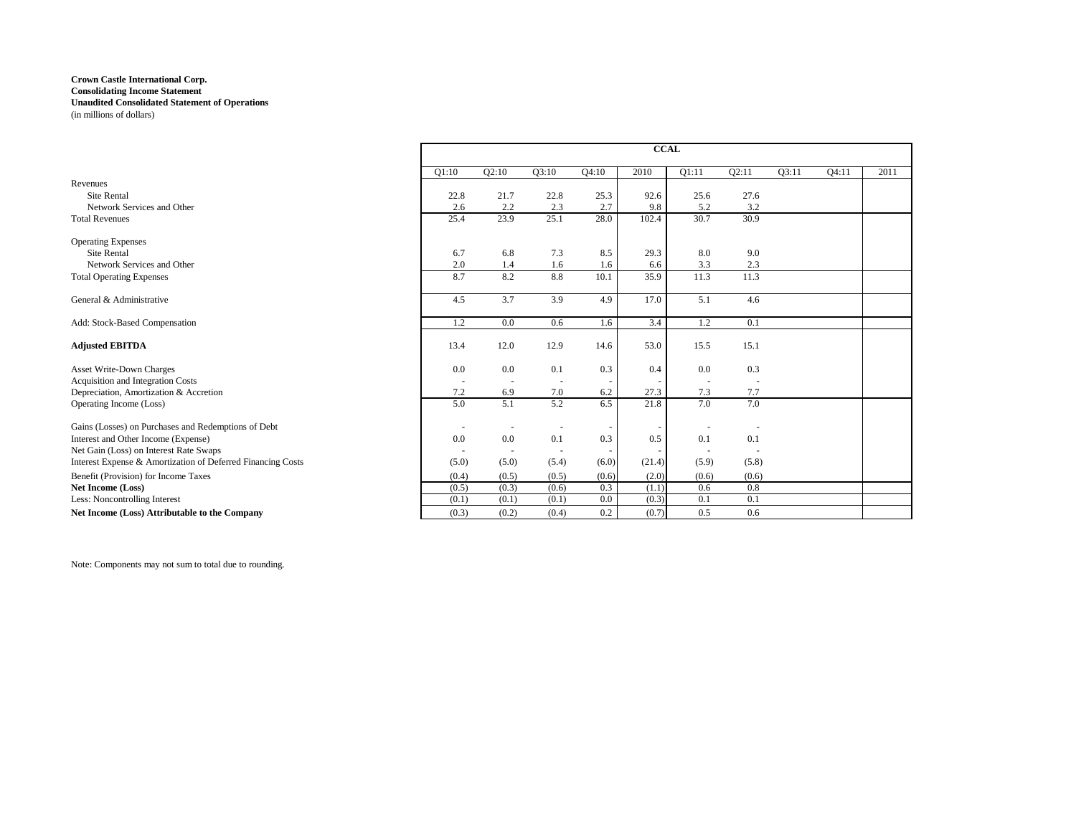|                                                             | <b>CCAL</b> |                          |       |       |                          |        |       |       |       |      |
|-------------------------------------------------------------|-------------|--------------------------|-------|-------|--------------------------|--------|-------|-------|-------|------|
|                                                             | O1:10       | O2:10                    | O3:10 | O4:10 | 2010                     | O1:11  | Q2:11 | O3:11 | Q4:11 | 2011 |
| Revenues                                                    |             |                          |       |       |                          |        |       |       |       |      |
| <b>Site Rental</b>                                          | 22.8        | 21.7                     | 22.8  | 25.3  | 92.6                     | 25.6   | 27.6  |       |       |      |
| Network Services and Other                                  | 2.6         | 2.2                      | 2.3   | 2.7   | 9.8                      | 5.2    | 3.2   |       |       |      |
| <b>Total Revenues</b>                                       | 25.4        | 23.9                     | 25.1  | 28.0  | 102.4                    | 30.7   | 30.9  |       |       |      |
| <b>Operating Expenses</b>                                   |             |                          |       |       |                          |        |       |       |       |      |
| <b>Site Rental</b>                                          | 6.7         | 6.8                      | 7.3   | 8.5   | 29.3                     | 8.0    | 9.0   |       |       |      |
| Network Services and Other                                  | 2.0         | 1.4                      | 1.6   | 1.6   | 6.6                      | 3.3    | 2.3   |       |       |      |
| <b>Total Operating Expenses</b>                             | 8.7         | 8.2                      | 8.8   | 10.1  | 35.9                     | 11.3   | 11.3  |       |       |      |
| General & Administrative                                    | 4.5         | 3.7                      | 3.9   | 4.9   | 17.0                     | 5.1    | 4.6   |       |       |      |
| Add: Stock-Based Compensation                               | 1.2         | 0.0                      | 0.6   | 1.6   | 3.4                      | 1.2    | 0.1   |       |       |      |
| <b>Adjusted EBITDA</b>                                      | 13.4        | 12.0                     | 12.9  | 14.6  | 53.0                     | 15.5   | 15.1  |       |       |      |
| <b>Asset Write-Down Charges</b>                             | 0.0         | 0.0                      | 0.1   | 0.3   | 0.4                      | 0.0    | 0.3   |       |       |      |
| Acquisition and Integration Costs                           |             |                          |       |       | $\overline{\phantom{a}}$ |        |       |       |       |      |
| Depreciation, Amortization & Accretion                      | 7.2         | 6.9                      | 7.0   | 6.2   | 27.3                     | 7.3    | 7.7   |       |       |      |
| Operating Income (Loss)                                     | 5.0         | 5.1                      | 5.2   | 6.5   | 21.8                     | 7.0    | 7.0   |       |       |      |
| Gains (Losses) on Purchases and Redemptions of Debt         |             |                          |       |       |                          |        |       |       |       |      |
| Interest and Other Income (Expense)                         | 0.0         | 0.0                      | 0.1   | 0.3   | 0.5                      | 0.1    | 0.1   |       |       |      |
| Net Gain (Loss) on Interest Rate Swaps                      | $\sim$      | $\overline{\phantom{a}}$ |       |       | $\overline{\phantom{a}}$ | $\sim$ |       |       |       |      |
| Interest Expense & Amortization of Deferred Financing Costs | (5.0)       | (5.0)                    | (5.4) | (6.0) | (21.4)                   | (5.9)  | (5.8) |       |       |      |
| Benefit (Provision) for Income Taxes                        | (0.4)       | (0.5)                    | (0.5) | (0.6) | (2.0)                    | (0.6)  | (0.6) |       |       |      |
| <b>Net Income (Loss)</b>                                    | (0.5)       | (0.3)                    | (0.6) | 0.3   | (1.1)                    | 0.6    | 0.8   |       |       |      |
| Less: Noncontrolling Interest                               | (0.1)       | (0.1)                    | (0.1) | 0.0   | (0.3)                    | 0.1    | 0.1   |       |       |      |
| Net Income (Loss) Attributable to the Company               | (0.3)       | (0.2)                    | (0.4) | 0.2   | (0.7)                    | 0.5    | 0.6   |       |       |      |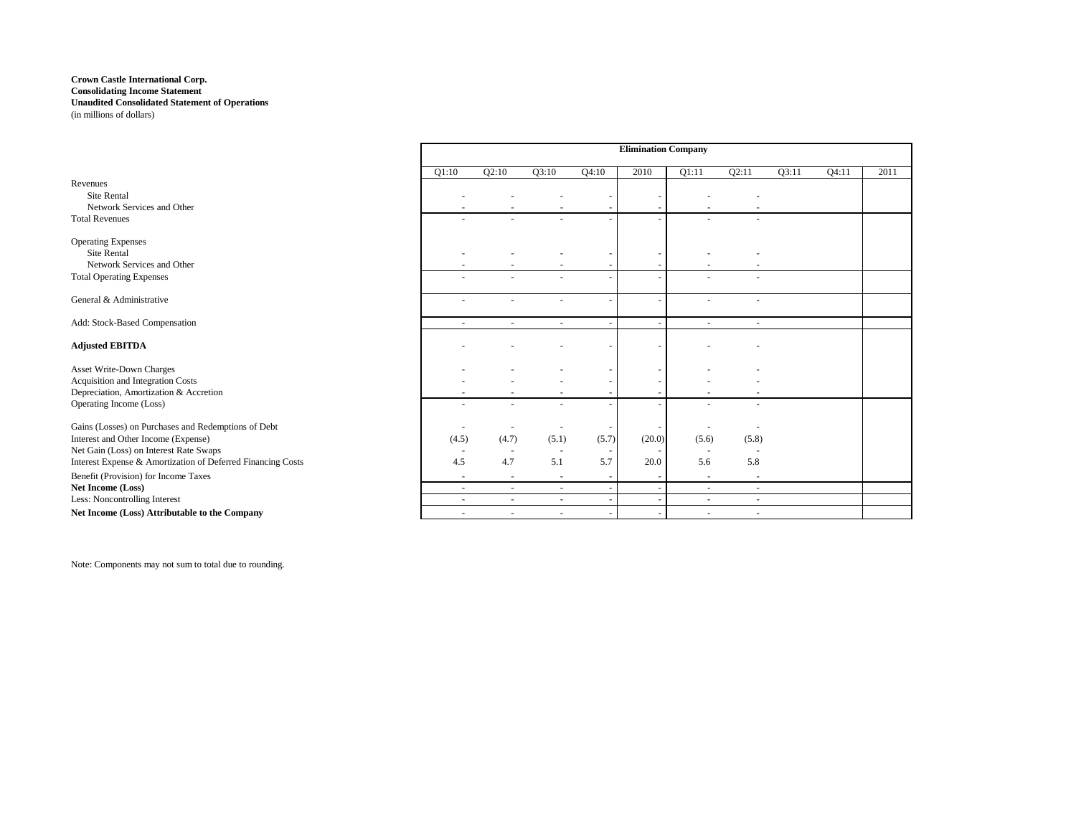|                                                             | <b>Elimination Company</b> |                          |                          |       |                          |                          |        |       |       |      |
|-------------------------------------------------------------|----------------------------|--------------------------|--------------------------|-------|--------------------------|--------------------------|--------|-------|-------|------|
|                                                             | O1:10                      | O2:10                    | O3:10                    | Q4:10 | 2010                     | O1:11                    | O2:11  | O3:11 | Q4:11 | 2011 |
| Revenues                                                    |                            |                          |                          |       |                          |                          |        |       |       |      |
| <b>Site Rental</b>                                          |                            |                          |                          |       |                          |                          |        |       |       |      |
| Network Services and Other                                  |                            |                          |                          |       |                          |                          |        |       |       |      |
| <b>Total Revenues</b>                                       |                            |                          | ٠                        |       | ٠                        |                          |        |       |       |      |
| <b>Operating Expenses</b>                                   |                            |                          |                          |       |                          |                          |        |       |       |      |
| <b>Site Rental</b>                                          |                            |                          |                          |       | ۰                        |                          |        |       |       |      |
| Network Services and Other                                  |                            |                          |                          |       | $\overline{\phantom{a}}$ |                          |        |       |       |      |
| <b>Total Operating Expenses</b>                             |                            |                          |                          |       | $\overline{\phantom{a}}$ |                          |        |       |       |      |
| General & Administrative                                    |                            |                          | ٠                        |       | ٠                        |                          |        |       |       |      |
| Add: Stock-Based Compensation                               |                            |                          | $\sim$                   |       | $\sim$                   |                          |        |       |       |      |
|                                                             |                            |                          |                          |       |                          |                          |        |       |       |      |
| <b>Adjusted EBITDA</b>                                      |                            |                          |                          |       |                          |                          |        |       |       |      |
| Asset Write-Down Charges                                    |                            |                          |                          |       |                          |                          |        |       |       |      |
| Acquisition and Integration Costs                           |                            |                          |                          |       | ٠                        |                          |        |       |       |      |
| Depreciation, Amortization & Accretion                      |                            |                          |                          |       | $\overline{\phantom{a}}$ |                          |        |       |       |      |
| Operating Income (Loss)                                     |                            |                          |                          |       |                          |                          |        |       |       |      |
| Gains (Losses) on Purchases and Redemptions of Debt         |                            |                          |                          |       |                          |                          |        |       |       |      |
| Interest and Other Income (Expense)                         | (4.5)                      | (4.7)                    | (5.1)                    | (5.7) | (20.0)                   | (5.6)                    | (5.8)  |       |       |      |
| Net Gain (Loss) on Interest Rate Swaps                      |                            |                          |                          | ٠     | $\overline{\phantom{a}}$ |                          |        |       |       |      |
| Interest Expense & Amortization of Deferred Financing Costs | 4.5                        | 4.7                      | 5.1                      | 5.7   | 20.0                     | 5.6                      | 5.8    |       |       |      |
| Benefit (Provision) for Income Taxes                        | ٠                          | $\overline{\phantom{a}}$ | $\overline{\phantom{a}}$ |       | $\overline{\phantom{a}}$ | $\overline{\phantom{a}}$ |        |       |       |      |
| Net Income (Loss)                                           |                            |                          | ٠                        |       | $\overline{\phantom{a}}$ |                          |        |       |       |      |
| Less: Noncontrolling Interest                               | ۰.                         | $\sim$                   | $\sim$                   | ۰.    | $\sim$                   | $\overline{\phantom{a}}$ | $\sim$ |       |       |      |
| Net Income (Loss) Attributable to the Company               |                            |                          | ٠                        |       | ٠                        |                          |        |       |       |      |

r.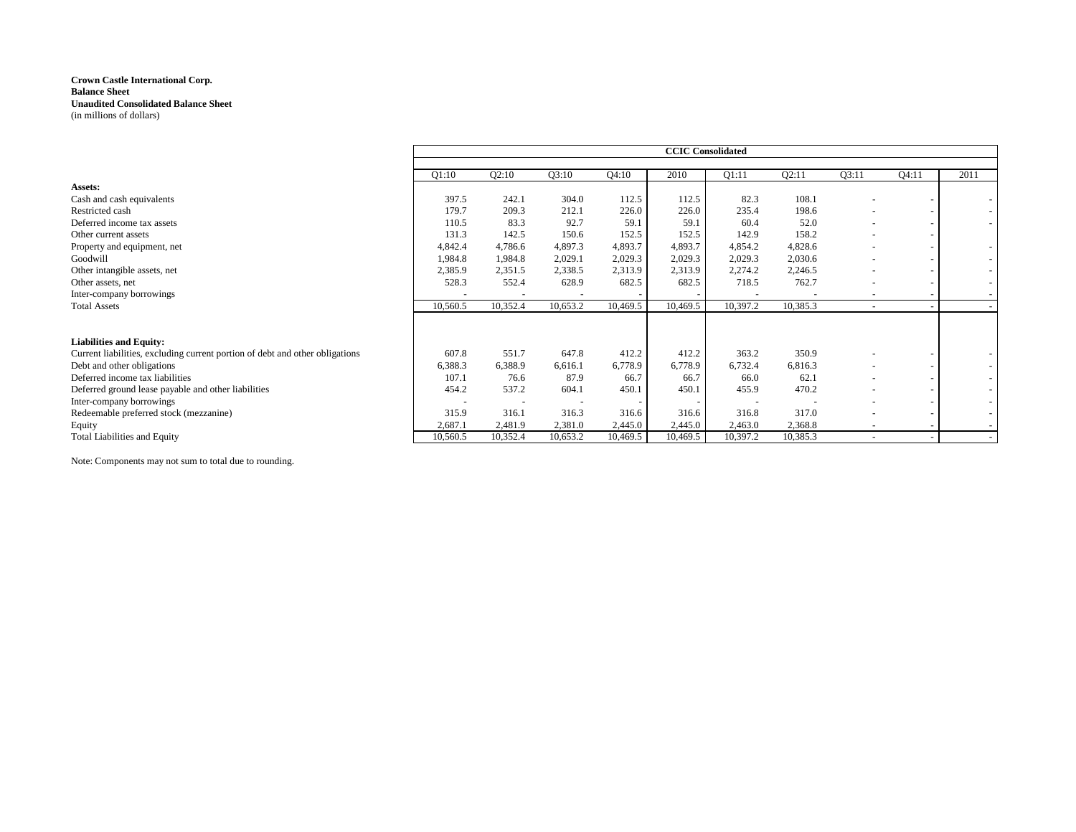|                                                                              |          |          |          |          | <b>CCIC</b> Consolidated |                          |          |                          |       |      |
|------------------------------------------------------------------------------|----------|----------|----------|----------|--------------------------|--------------------------|----------|--------------------------|-------|------|
|                                                                              | Q1:10    | Q2:10    | Q3:10    | Q4:10    | 2010                     | Q1:11                    | Q2:11    | Q3:11                    | Q4:11 | 2011 |
| Assets:                                                                      |          |          |          |          |                          |                          |          |                          |       |      |
| Cash and cash equivalents                                                    | 397.5    | 242.1    | 304.0    | 112.5    | 112.5                    | 82.3                     | 108.1    |                          |       |      |
| Restricted cash                                                              | 179.7    | 209.3    | 212.1    | 226.0    | 226.0                    | 235.4                    | 198.6    |                          |       |      |
| Deferred income tax assets                                                   | 110.5    | 83.3     | 92.7     | 59.1     | 59.1                     | 60.4                     | 52.0     |                          |       |      |
| Other current assets                                                         | 131.3    | 142.5    | 150.6    | 152.5    | 152.5                    | 142.9                    | 158.2    |                          |       |      |
| Property and equipment, net                                                  | 4,842.4  | 4,786.6  | 4,897.3  | 4,893.7  | 4,893.7                  | 4,854.2                  | 4,828.6  |                          |       |      |
| Goodwill                                                                     | 1,984.8  | 1,984.8  | 2,029.1  | 2,029.3  | 2,029.3                  | 2,029.3                  | 2,030.6  |                          |       |      |
| Other intangible assets, net                                                 | 2,385.9  | 2,351.5  | 2,338.5  | 2,313.9  | 2,313.9                  | 2,274.2                  | 2,246.5  |                          |       |      |
| Other assets, net                                                            | 528.3    | 552.4    | 628.9    | 682.5    | 682.5                    | 718.5                    | 762.7    |                          |       |      |
| Inter-company borrowings                                                     |          |          |          |          |                          |                          |          |                          |       |      |
| <b>Total Assets</b>                                                          | 10,560.5 | 10,352.4 | 10,653.2 | 10,469.5 | 10,469.5                 | 10,397.2                 | 10,385.3 | $\overline{\phantom{a}}$ |       |      |
| <b>Liabilities and Equity:</b>                                               |          |          |          |          |                          |                          |          |                          |       |      |
| Current liabilities, excluding current portion of debt and other obligations | 607.8    | 551.7    | 647.8    | 412.2    | 412.2                    | 363.2                    | 350.9    |                          |       |      |
| Debt and other obligations                                                   | 6,388.3  | 6,388.9  | 6,616.1  | 6,778.9  | 6,778.9                  | 6,732.4                  | 6,816.3  |                          |       |      |
| Deferred income tax liabilities                                              | 107.1    | 76.6     | 87.9     | 66.7     | 66.7                     | 66.0                     | 62.1     |                          |       |      |
| Deferred ground lease payable and other liabilities                          | 454.2    | 537.2    | 604.1    | 450.1    | 450.1                    | 455.9                    | 470.2    |                          |       |      |
| Inter-company borrowings                                                     |          |          |          |          |                          | $\overline{\phantom{a}}$ |          |                          |       |      |
| Redeemable preferred stock (mezzanine)                                       | 315.9    | 316.1    | 316.3    | 316.6    | 316.6                    | 316.8                    | 317.0    |                          |       |      |
| Equity                                                                       | 2,687.1  | 2,481.9  | 2,381.0  | 2,445.0  | 2,445.0                  | 2,463.0                  | 2,368.8  |                          |       |      |
| <b>Total Liabilities and Equity</b>                                          | 10,560.5 | 10,352.4 | 10,653.2 | 10,469.5 | 10,469.5                 | 10,397.2                 | 10,385.3 |                          |       |      |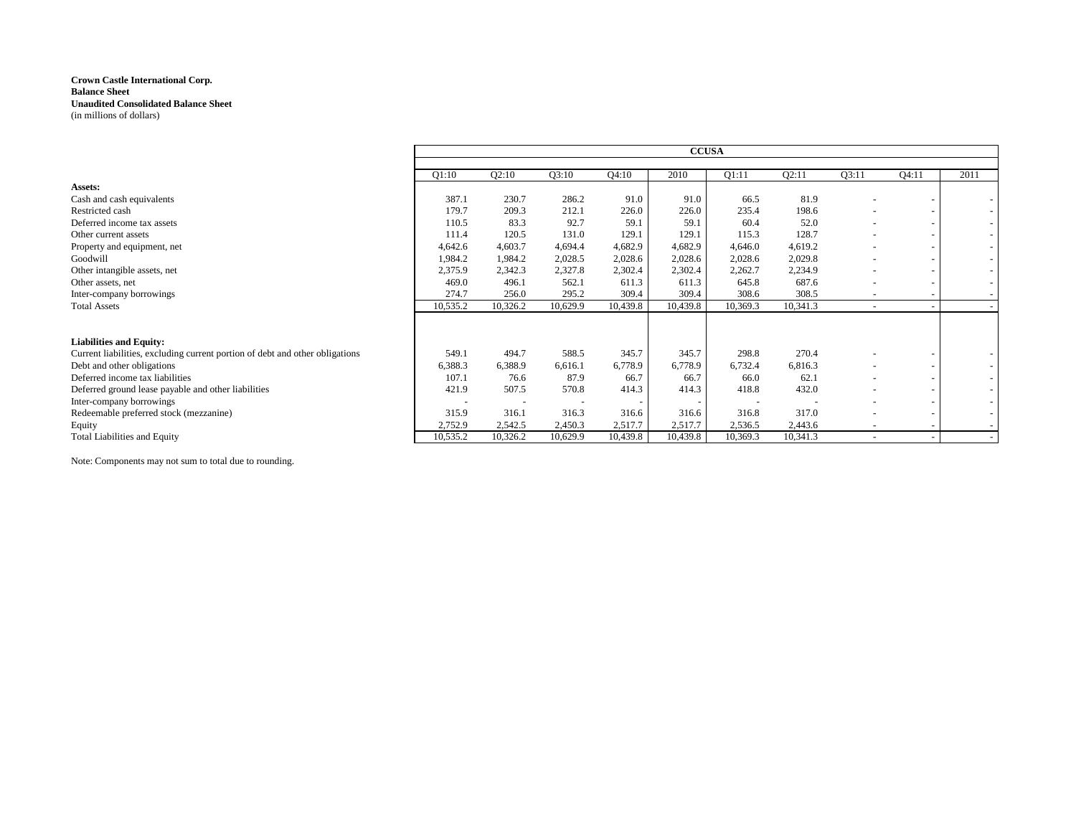|                                                                              |          |          |          |          | <b>CCUSA</b> |          |          |                          |       |        |
|------------------------------------------------------------------------------|----------|----------|----------|----------|--------------|----------|----------|--------------------------|-------|--------|
|                                                                              |          |          |          |          |              |          |          |                          |       |        |
|                                                                              | O1:10    | Q2:10    | Q3:10    | Q4:10    | 2010         | Q1:11    | Q2:11    | Q3:11                    | Q4:11 | 2011   |
| Assets:                                                                      |          |          |          |          |              |          |          |                          |       |        |
| Cash and cash equivalents                                                    | 387.1    | 230.7    | 286.2    | 91.0     | 91.0         | 66.5     | 81.9     |                          |       |        |
| Restricted cash                                                              | 179.7    | 209.3    | 212.1    | 226.0    | 226.0        | 235.4    | 198.6    | $\overline{\phantom{0}}$ |       |        |
| Deferred income tax assets                                                   | 110.5    | 83.3     | 92.7     | 59.1     | 59.1         | 60.4     | 52.0     |                          |       |        |
| Other current assets                                                         | 111.4    | 120.5    | 131.0    | 129.1    | 129.1        | 115.3    | 128.7    |                          |       | $\sim$ |
| Property and equipment, net                                                  | 4,642.6  | 4,603.7  | 4,694.4  | 4,682.9  | 4,682.9      | 4,646.0  | 4,619.2  |                          |       |        |
| Goodwill                                                                     | 1,984.2  | 1,984.2  | 2,028.5  | 2,028.6  | 2,028.6      | 2,028.6  | 2,029.8  |                          |       | $\sim$ |
| Other intangible assets, net                                                 | 2,375.9  | 2,342.3  | 2,327.8  | 2,302.4  | 2,302.4      | 2,262.7  | 2,234.9  |                          |       |        |
| Other assets, net                                                            | 469.0    | 496.1    | 562.1    | 611.3    | 611.3        | 645.8    | 687.6    |                          |       |        |
| Inter-company borrowings                                                     | 274.7    | 256.0    | 295.2    | 309.4    | 309.4        | 308.6    | 308.5    | $\overline{\phantom{a}}$ |       |        |
| <b>Total Assets</b>                                                          | 10,535.2 | 10,326.2 | 10,629.9 | 10,439.8 | 10,439.8     | 10,369.3 | 10,341.3 | $\sim$                   |       |        |
|                                                                              |          |          |          |          |              |          |          |                          |       |        |
| <b>Liabilities and Equity:</b>                                               |          |          |          |          |              |          |          |                          |       |        |
| Current liabilities, excluding current portion of debt and other obligations | 549.1    | 494.7    | 588.5    | 345.7    | 345.7        | 298.8    | 270.4    |                          |       |        |
| Debt and other obligations                                                   | 6,388.3  | 6,388.9  | 6,616.1  | 6,778.9  | 6,778.9      | 6,732.4  | 6,816.3  | $\overline{\phantom{0}}$ |       |        |
| Deferred income tax liabilities                                              | 107.1    | 76.6     | 87.9     | 66.7     | 66.7         | 66.0     | 62.1     | $\overline{\phantom{0}}$ |       |        |
| Deferred ground lease payable and other liabilities                          | 421.9    | 507.5    | 570.8    | 414.3    | 414.3        | 418.8    | 432.0    |                          |       | $\sim$ |
| Inter-company borrowings                                                     |          |          |          |          |              |          |          |                          |       |        |
| Redeemable preferred stock (mezzanine)                                       | 315.9    | 316.1    | 316.3    | 316.6    | 316.6        | 316.8    | 317.0    |                          |       | $\sim$ |
| Equity                                                                       | 2,752.9  | 2,542.5  | 2,450.3  | 2,517.7  | 2,517.7      | 2,536.5  | 2,443.6  |                          |       |        |
| <b>Total Liabilities and Equity</b>                                          | 10,535.2 | 10,326.2 | 10,629.9 | 10,439.8 | 10,439.8     | 10,369.3 | 10,341.3 |                          |       |        |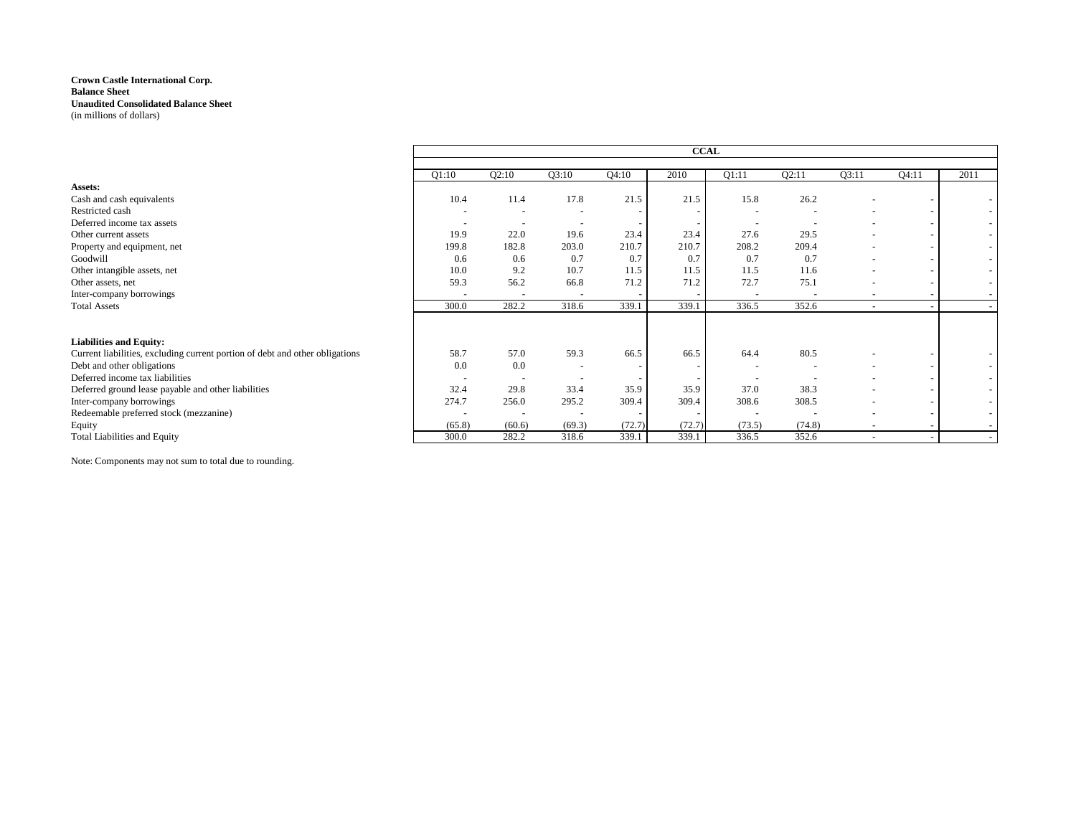|                                                                              |                          |                          |                          |        | <b>CCAL</b> |                          |        |                          |       |                          |
|------------------------------------------------------------------------------|--------------------------|--------------------------|--------------------------|--------|-------------|--------------------------|--------|--------------------------|-------|--------------------------|
|                                                                              | Q1:10                    | Q2:10                    | Q3:10                    | Q4:10  | 2010        | Q1:11                    | Q2:11  | Q3:11                    | Q4:11 | 2011                     |
| Assets:                                                                      |                          |                          |                          |        |             |                          |        |                          |       |                          |
| Cash and cash equivalents                                                    | 10.4                     | 11.4                     | 17.8                     | 21.5   | 21.5        | 15.8                     | 26.2   |                          |       |                          |
| Restricted cash                                                              |                          |                          |                          |        |             |                          |        |                          |       |                          |
| Deferred income tax assets                                                   |                          | $\overline{\phantom{a}}$ |                          |        |             |                          |        |                          |       | $\overline{\phantom{a}}$ |
| Other current assets                                                         | 19.9                     | 22.0                     | 19.6                     | 23.4   | 23.4        | 27.6                     | 29.5   |                          |       | $\sim$                   |
| Property and equipment, net                                                  | 199.8                    | 182.8                    | 203.0                    | 210.7  | 210.7       | 208.2                    | 209.4  |                          |       | $\overline{\phantom{a}}$ |
| Goodwill                                                                     | 0.6                      | 0.6                      | 0.7                      | 0.7    | 0.7         | 0.7                      | 0.7    | $\overline{\phantom{a}}$ |       | $\sim$                   |
| Other intangible assets, net                                                 | 10.0                     | 9.2                      | 10.7                     | 11.5   | 11.5        | 11.5                     | 11.6   |                          |       | $\overline{\phantom{a}}$ |
| Other assets, net                                                            | 59.3                     | 56.2                     | 66.8                     | 71.2   | 71.2        | 72.7                     | 75.1   |                          |       | $\overline{\phantom{a}}$ |
| Inter-company borrowings                                                     |                          |                          | $\overline{\phantom{a}}$ |        |             | $\overline{\phantom{a}}$ |        | $\overline{\phantom{a}}$ |       |                          |
| <b>Total Assets</b>                                                          | 300.0                    | 282.2                    | 318.6                    | 339.1  | 339.1       | 336.5                    | 352.6  | $\overline{a}$           |       |                          |
| <b>Liabilities and Equity:</b>                                               |                          |                          |                          |        |             |                          |        |                          |       |                          |
| Current liabilities, excluding current portion of debt and other obligations | 58.7                     | 57.0                     | 59.3                     | 66.5   | 66.5        | 64.4                     | 80.5   |                          |       |                          |
| Debt and other obligations                                                   | 0.0                      | 0.0                      |                          |        |             |                          |        |                          |       |                          |
| Deferred income tax liabilities                                              | $\overline{\phantom{a}}$ |                          |                          |        |             |                          |        |                          |       |                          |
| Deferred ground lease payable and other liabilities                          | 32.4                     | 29.8                     | 33.4                     | 35.9   | 35.9        | 37.0                     | 38.3   |                          |       | $\overline{\phantom{a}}$ |
| Inter-company borrowings                                                     | 274.7                    | 256.0                    | 295.2                    | 309.4  | 309.4       | 308.6                    | 308.5  |                          |       |                          |
| Redeemable preferred stock (mezzanine)                                       |                          |                          |                          |        |             | $\overline{\phantom{a}}$ |        |                          |       |                          |
| Equity                                                                       | (65.8)                   | (60.6)                   | (69.3)                   | (72.7) | (72.7)      | (73.5)                   | (74.8) | $\overline{\phantom{a}}$ |       |                          |
| <b>Total Liabilities and Equity</b>                                          | 300.0                    | 282.2                    | 318.6                    | 339.1  | 339.1       | 336.5                    | 352.6  | $\overline{\phantom{0}}$ |       |                          |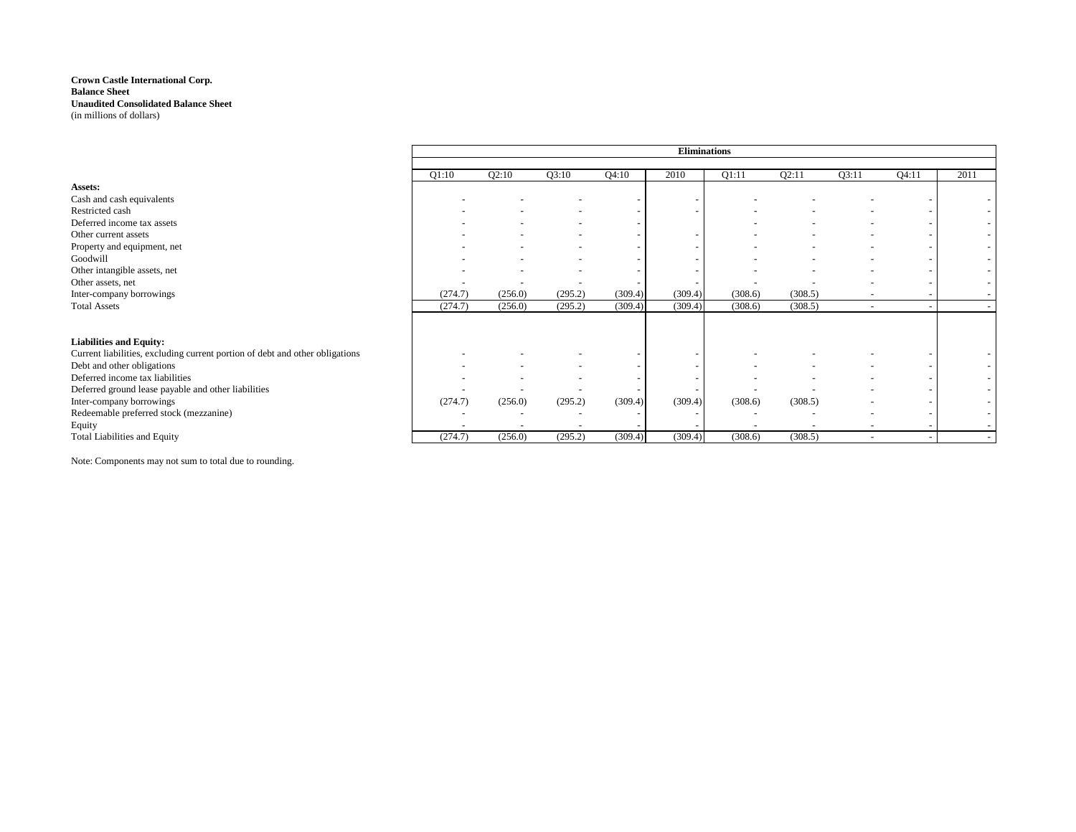|                                                                              | <b>Eliminations</b> |                          |         |         |                          |                          |         |                          |                          |                          |  |  |
|------------------------------------------------------------------------------|---------------------|--------------------------|---------|---------|--------------------------|--------------------------|---------|--------------------------|--------------------------|--------------------------|--|--|
|                                                                              |                     |                          |         |         |                          |                          |         |                          |                          |                          |  |  |
|                                                                              | Q1:10               | Q2:10                    | Q3:10   | Q4:10   | 2010                     | Q1:11                    | Q2:11   | Q3:11                    | Q4:11                    | 2011                     |  |  |
| Assets:                                                                      |                     |                          |         |         |                          |                          |         |                          |                          |                          |  |  |
| Cash and cash equivalents                                                    |                     |                          |         |         | $\overline{\phantom{a}}$ |                          |         |                          |                          |                          |  |  |
| Restricted cash                                                              |                     |                          |         |         |                          |                          |         |                          |                          |                          |  |  |
| Deferred income tax assets                                                   |                     |                          |         |         |                          |                          |         |                          |                          | $\sim$                   |  |  |
| Other current assets                                                         |                     |                          |         |         |                          |                          |         |                          |                          |                          |  |  |
| Property and equipment, net                                                  |                     |                          |         |         |                          |                          |         |                          |                          | $\sim$                   |  |  |
| Goodwill                                                                     |                     |                          |         |         |                          |                          |         |                          |                          | $\sim$                   |  |  |
| Other intangible assets, net                                                 |                     |                          |         |         |                          |                          |         |                          |                          |                          |  |  |
| Other assets, net                                                            |                     |                          |         |         |                          |                          |         |                          |                          |                          |  |  |
| Inter-company borrowings                                                     | (274.7)             | (256.0)                  | (295.2) | (309.4) | (309.4)                  | (308.6)                  | (308.5) |                          |                          |                          |  |  |
| <b>Total Assets</b>                                                          | (274.7)             | (256.0)                  | (295.2) | (309.4) | (309.4)                  | (308.6)                  | (308.5) | $\sim$                   |                          |                          |  |  |
|                                                                              |                     |                          |         |         |                          |                          |         |                          |                          |                          |  |  |
| <b>Liabilities and Equity:</b>                                               |                     |                          |         |         |                          |                          |         |                          |                          |                          |  |  |
| Current liabilities, excluding current portion of debt and other obligations |                     |                          |         |         |                          |                          |         |                          |                          |                          |  |  |
| Debt and other obligations                                                   |                     |                          |         |         |                          |                          |         |                          |                          |                          |  |  |
| Deferred income tax liabilities                                              |                     |                          |         |         |                          |                          |         |                          |                          | $\sim$                   |  |  |
| Deferred ground lease payable and other liabilities                          |                     |                          |         |         |                          |                          |         |                          |                          |                          |  |  |
| Inter-company borrowings                                                     | (274.7)             | (256.0)                  | (295.2) | (309.4) | (309.4)                  | (308.6)                  | (308.5) |                          |                          |                          |  |  |
| Redeemable preferred stock (mezzanine)                                       |                     |                          |         |         |                          |                          |         |                          | $\overline{\phantom{0}}$ | $\overline{\phantom{a}}$ |  |  |
| Equity                                                                       |                     | $\overline{\phantom{0}}$ |         |         |                          | $\overline{\phantom{0}}$ |         |                          | $\overline{\phantom{0}}$ | $\sim$                   |  |  |
| <b>Total Liabilities and Equity</b>                                          | (274.7)             | (256.0)                  | (295.2) | (309.4) | (309.4)                  | (308.6)                  | (308.5) | $\overline{\phantom{a}}$ | $\overline{\phantom{a}}$ |                          |  |  |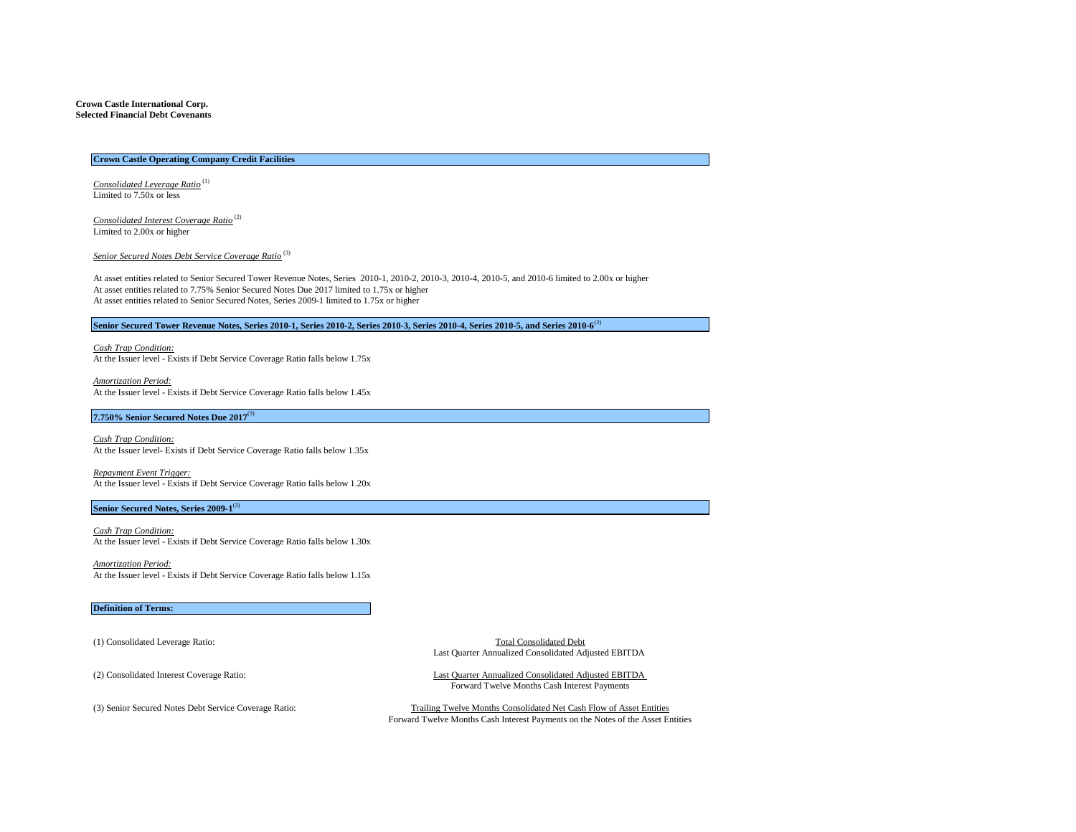#### **Crown Castle International Corp. Selected Financial Debt Covenants**

#### **Crown Castle Operating Company Credit Facilities**

*Consolidated Leverage Ratio* (1) Limited to 7.50x or less

*Consolidated Interest Coverage Ratio* (2) Limited to 2.00x or higher

*Senior Secured Notes Debt Service Coverage Ratio* (3)

At asset entities related to Senior Secured Tower Revenue Notes, Series 2010-1, 2010-2, 2010-3, 2010-4, 2010-5, and 2010-6 limited to 2.00x or higher At asset entities related to 7.75% Senior Secured Notes Due 2017 limited to 1.75x or higher At asset entities related to Senior Secured Notes, Series 2009-1 limited to 1.75x or higher

## **Senior Secured Tower Revenue Notes, Series 2010-1, Series 2010-2, Series 2010-3, Series 2010-4, Series 2010-5, and Series 2010-6**(3)

*Cash Trap Condition:* At the Issuer level - Exists if Debt Service Coverage Ratio falls below 1.75x

*Amortization Period:* At the Issuer level - Exists if Debt Service Coverage Ratio falls below 1.45x

#### **7.750% Senior Secured Notes Due 2017**(3)

*Cash Trap Condition:* At the Issuer level- Exists if Debt Service Coverage Ratio falls below 1.35x

*Repayment Event Trigger:* At the Issuer level - Exists if Debt Service Coverage Ratio falls below 1.20x

#### **Senior Secured Notes, Series 2009-1**(3)

*Cash Trap Condition:* At the Issuer level - Exists if Debt Service Coverage Ratio falls below 1.30x

*Amortization Period:* At the Issuer level - Exists if Debt Service Coverage Ratio falls below 1.15x

#### **Definition of Terms:**

(1) Consolidated Leverage Ratio: Total Consolidated Debt Last Quarter Annualized Consolidated Adjusted EBITDA

(2) Consolidated Interest Coverage Ratio: Last Quarter Annualized Consolidated Adjusted EBITDA Forward Twelve Months Cash Interest Payments

(3) Senior Secured Notes Debt Service Coverage Ratio: Trailing Twelve Months Consolidated Net Cash Flow of Asset Entities Forward Twelve Months Cash Interest Payments on the Notes of the Asset Entities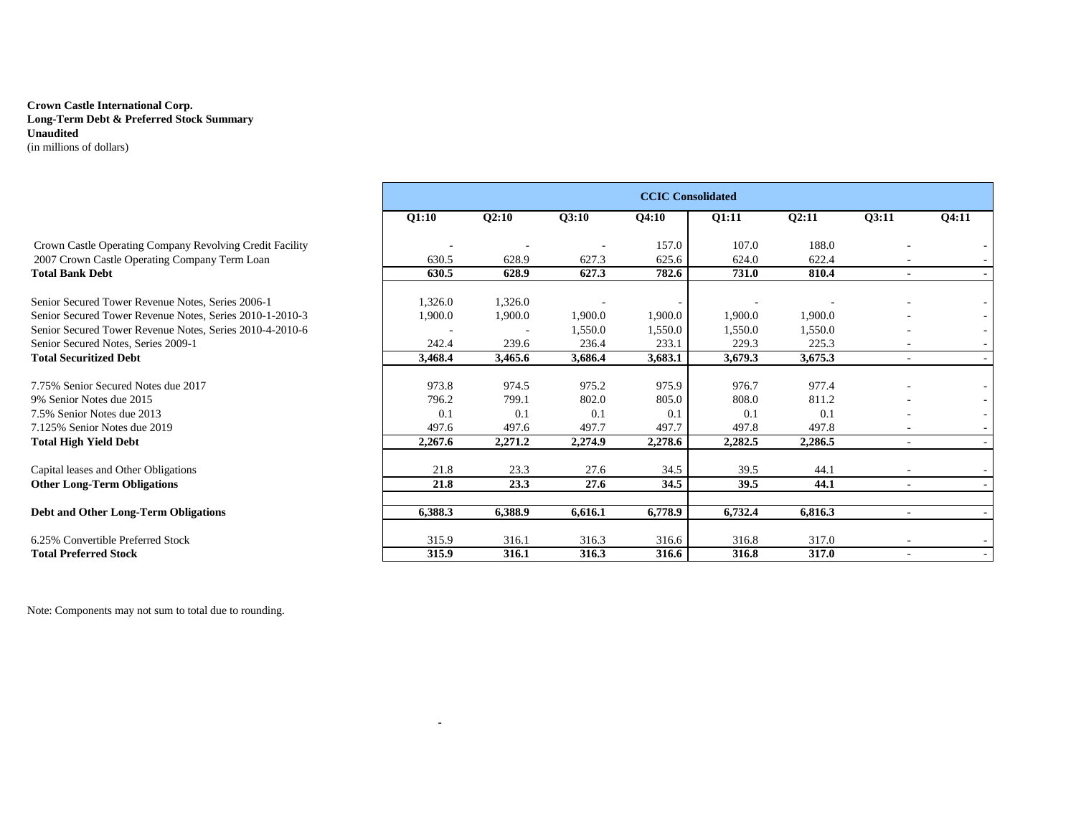# **Crown Castle International Corp. Long-Term Debt & Preferred Stock Summary Unaudited** (in millions of dollars)

|                                                          | <b>CCIC Consolidated</b> |         |         |         |         |         |        |       |  |  |  |  |
|----------------------------------------------------------|--------------------------|---------|---------|---------|---------|---------|--------|-------|--|--|--|--|
|                                                          | Q1:10                    | Q2:10   | Q3:10   | Q4:10   | Q1:11   | Q2:11   | Q3:11  | Q4:11 |  |  |  |  |
| Crown Castle Operating Company Revolving Credit Facility |                          |         |         | 157.0   | 107.0   | 188.0   |        |       |  |  |  |  |
| 2007 Crown Castle Operating Company Term Loan            | 630.5                    | 628.9   | 627.3   | 625.6   | 624.0   | 622.4   |        |       |  |  |  |  |
| <b>Total Bank Debt</b>                                   | 630.5                    | 628.9   | 627.3   | 782.6   | 731.0   | 810.4   | $\sim$ |       |  |  |  |  |
| Senior Secured Tower Revenue Notes, Series 2006-1        | 1,326.0                  | 1,326.0 |         |         |         |         |        |       |  |  |  |  |
| Senior Secured Tower Revenue Notes, Series 2010-1-2010-3 | 1,900.0                  | 1,900.0 | 1,900.0 | 1,900.0 | 1,900.0 | 1,900.0 |        |       |  |  |  |  |
| Senior Secured Tower Revenue Notes, Series 2010-4-2010-6 |                          |         | 1,550.0 | 1,550.0 | 1,550.0 | 1,550.0 |        |       |  |  |  |  |
| Senior Secured Notes, Series 2009-1                      | 242.4                    | 239.6   | 236.4   | 233.1   | 229.3   | 225.3   |        |       |  |  |  |  |
| <b>Total Securitized Debt</b>                            | 3,468.4                  | 3,465.6 | 3,686.4 | 3,683.1 | 3,679.3 | 3,675.3 |        |       |  |  |  |  |
| 7.75% Senior Secured Notes due 2017                      | 973.8                    | 974.5   | 975.2   | 975.9   | 976.7   | 977.4   |        |       |  |  |  |  |
| 9% Senior Notes due 2015                                 | 796.2                    | 799.1   | 802.0   | 805.0   | 808.0   | 811.2   |        |       |  |  |  |  |
| 7.5% Senior Notes due 2013                               | 0.1                      | 0.1     | 0.1     | 0.1     | 0.1     | 0.1     |        |       |  |  |  |  |
| 7.125% Senior Notes due 2019                             | 497.6                    | 497.6   | 497.7   | 497.7   | 497.8   | 497.8   |        |       |  |  |  |  |
| Total High Yield Debt                                    | 2,267.6                  | 2,271.2 | 2,274.9 | 2,278.6 | 2,282.5 | 2,286.5 | $\sim$ |       |  |  |  |  |
| Capital leases and Other Obligations                     | 21.8                     | 23.3    | 27.6    | 34.5    | 39.5    | 44.1    |        |       |  |  |  |  |
| <b>Other Long-Term Obligations</b>                       | 21.8                     | 23.3    | 27.6    | 34.5    | 39.5    | 44.1    | $\sim$ |       |  |  |  |  |
| Debt and Other Long-Term Obligations                     | 6,388.3                  | 6,388.9 | 6,616.1 | 6,778.9 | 6,732.4 | 6,816.3 |        |       |  |  |  |  |
|                                                          |                          |         |         |         |         |         |        |       |  |  |  |  |
| 6.25% Convertible Preferred Stock                        | 315.9                    | 316.1   | 316.3   | 316.6   | 316.8   | 317.0   |        |       |  |  |  |  |
| <b>Total Preferred Stock</b>                             | 315.9                    | 316.1   | 316.3   | 316.6   | 316.8   | 317.0   |        |       |  |  |  |  |

 **-**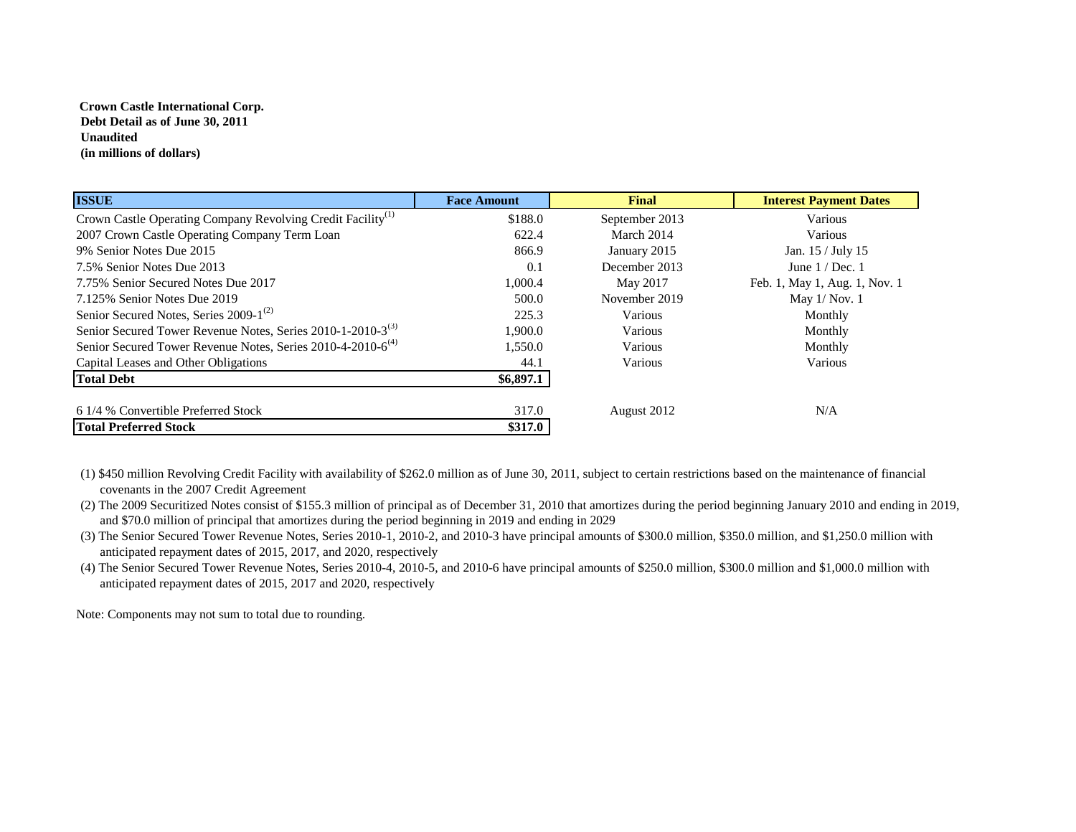# **Crown Castle International Corp. Debt Detail as of June 30, 2011 Unaudited (in millions of dollars)**

| <b>ISSUE</b>                                                            | <b>Face Amount</b> | Final          | <b>Interest Payment Dates</b> |
|-------------------------------------------------------------------------|--------------------|----------------|-------------------------------|
| Crown Castle Operating Company Revolving Credit Facility <sup>(1)</sup> | \$188.0            | September 2013 | Various                       |
| 2007 Crown Castle Operating Company Term Loan                           | 622.4              | March 2014     | Various                       |
| 9% Senior Notes Due 2015                                                | 866.9              | January 2015   | Jan. 15 / July 15             |
| 7.5% Senior Notes Due 2013                                              | 0.1                | December 2013  | June $1/Dec.1$                |
| 7.75% Senior Secured Notes Due 2017                                     | 1,000.4            | May 2017       | Feb. 1, May 1, Aug. 1, Nov. 1 |
| 7.125% Senior Notes Due 2019                                            | 500.0              | November 2019  | May $1/$ Nov. $1$             |
| Senior Secured Notes, Series 2009-1 <sup>(2)</sup>                      | 225.3              | Various        | Monthly                       |
| Senior Secured Tower Revenue Notes, Series 2010-1-2010-3 <sup>(3)</sup> | 1,900.0            | Various        | Monthly                       |
| Senior Secured Tower Revenue Notes, Series 2010-4-2010-6 <sup>(4)</sup> | 1,550.0            | <b>Various</b> | Monthly                       |
| Capital Leases and Other Obligations                                    | 44.1               | Various        | Various                       |
| <b>Total Debt</b>                                                       | \$6,897.1          |                |                               |
| 6 1/4 % Convertible Preferred Stock                                     | 317.0              | August 2012    | N/A                           |
| <b>Total Preferred Stock</b>                                            | \$317.0            |                |                               |

(1) \$450 million Revolving Credit Facility with availability of \$262.0 million as of June 30, 2011, subject to certain restrictions based on the maintenance of financial covenants in the 2007 Credit Agreement

(2) The 2009 Securitized Notes consist of \$155.3 million of principal as of December 31, 2010 that amortizes during the period beginning January 2010 and ending in 2019, and \$70.0 million of principal that amortizes during the period beginning in 2019 and ending in 2029

(3) The Senior Secured Tower Revenue Notes, Series 2010-1, 2010-2, and 2010-3 have principal amounts of \$300.0 million, \$350.0 million, and \$1,250.0 million with anticipated repayment dates of 2015, 2017, and 2020, respectively

(4) The Senior Secured Tower Revenue Notes, Series 2010-4, 2010-5, and 2010-6 have principal amounts of \$250.0 million, \$300.0 million and \$1,000.0 million with anticipated repayment dates of 2015, 2017 and 2020, respectively